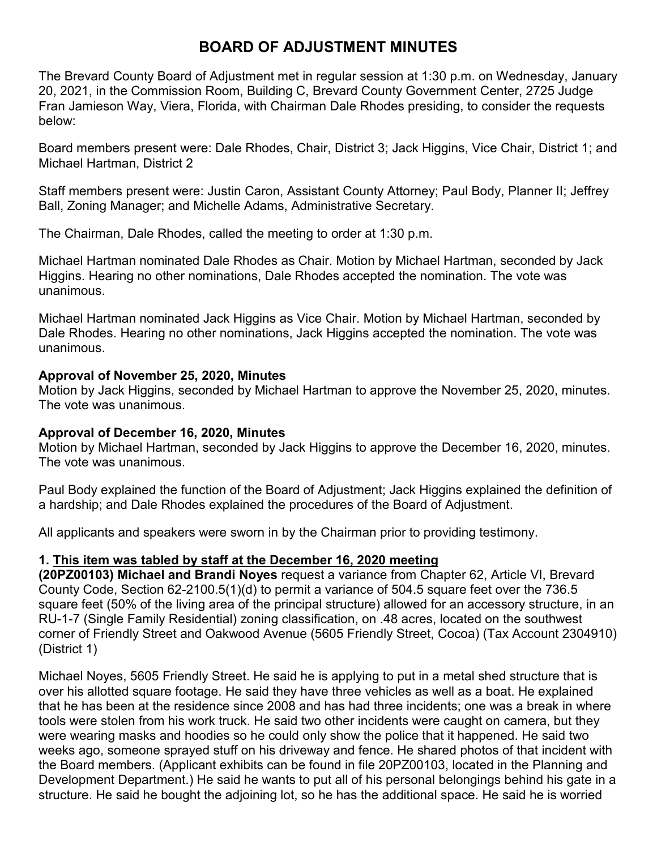# **BOARD OF ADJUSTMENT MINUTES**

The Brevard County Board of Adjustment met in regular session at 1:30 p.m. on Wednesday, January 20, 2021, in the Commission Room, Building C, Brevard County Government Center, 2725 Judge Fran Jamieson Way, Viera, Florida, with Chairman Dale Rhodes presiding, to consider the requests below:

Board members present were: Dale Rhodes, Chair, District 3; Jack Higgins, Vice Chair, District 1; and Michael Hartman, District 2

Staff members present were: Justin Caron, Assistant County Attorney; Paul Body, Planner II; Jeffrey Ball, Zoning Manager; and Michelle Adams, Administrative Secretary.

The Chairman, Dale Rhodes, called the meeting to order at 1:30 p.m.

Michael Hartman nominated Dale Rhodes as Chair. Motion by Michael Hartman, seconded by Jack Higgins. Hearing no other nominations, Dale Rhodes accepted the nomination. The vote was unanimous.

Michael Hartman nominated Jack Higgins as Vice Chair. Motion by Michael Hartman, seconded by Dale Rhodes. Hearing no other nominations, Jack Higgins accepted the nomination. The vote was unanimous.

# **Approval of November 25, 2020, Minutes**

Motion by Jack Higgins, seconded by Michael Hartman to approve the November 25, 2020, minutes. The vote was unanimous.

# **Approval of December 16, 2020, Minutes**

Motion by Michael Hartman, seconded by Jack Higgins to approve the December 16, 2020, minutes. The vote was unanimous.

Paul Body explained the function of the Board of Adjustment; Jack Higgins explained the definition of a hardship; and Dale Rhodes explained the procedures of the Board of Adjustment.

All applicants and speakers were sworn in by the Chairman prior to providing testimony.

# **1. This item was tabled by staff at the December 16, 2020 meeting**

**(20PZ00103) Michael and Brandi Noyes** request a variance from Chapter 62, Article VI, Brevard County Code, Section 62-2100.5(1)(d) to permit a variance of 504.5 square feet over the 736.5 square feet (50% of the living area of the principal structure) allowed for an accessory structure, in an RU-1-7 (Single Family Residential) zoning classification, on .48 acres, located on the southwest corner of Friendly Street and Oakwood Avenue (5605 Friendly Street, Cocoa) (Tax Account 2304910) (District 1)

Michael Noyes, 5605 Friendly Street. He said he is applying to put in a metal shed structure that is over his allotted square footage. He said they have three vehicles as well as a boat. He explained that he has been at the residence since 2008 and has had three incidents; one was a break in where tools were stolen from his work truck. He said two other incidents were caught on camera, but they were wearing masks and hoodies so he could only show the police that it happened. He said two weeks ago, someone sprayed stuff on his driveway and fence. He shared photos of that incident with the Board members. (Applicant exhibits can be found in file 20PZ00103, located in the Planning and Development Department.) He said he wants to put all of his personal belongings behind his gate in a structure. He said he bought the adjoining lot, so he has the additional space. He said he is worried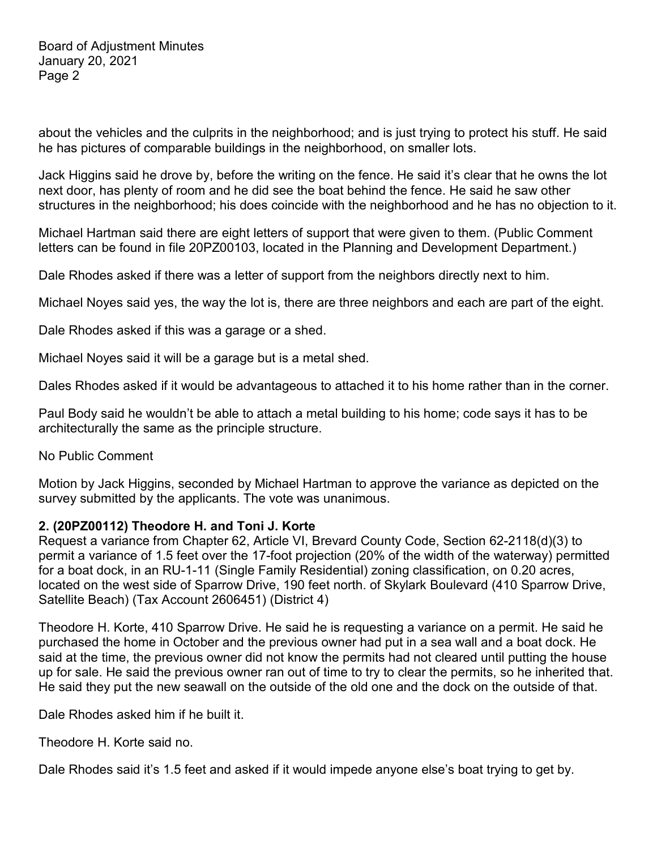about the vehicles and the culprits in the neighborhood; and is just trying to protect his stuff. He said he has pictures of comparable buildings in the neighborhood, on smaller lots.

Jack Higgins said he drove by, before the writing on the fence. He said it's clear that he owns the lot next door, has plenty of room and he did see the boat behind the fence. He said he saw other structures in the neighborhood; his does coincide with the neighborhood and he has no objection to it.

Michael Hartman said there are eight letters of support that were given to them. (Public Comment letters can be found in file 20PZ00103, located in the Planning and Development Department.)

Dale Rhodes asked if there was a letter of support from the neighbors directly next to him.

Michael Noyes said yes, the way the lot is, there are three neighbors and each are part of the eight.

Dale Rhodes asked if this was a garage or a shed.

Michael Noyes said it will be a garage but is a metal shed.

Dales Rhodes asked if it would be advantageous to attached it to his home rather than in the corner.

Paul Body said he wouldn't be able to attach a metal building to his home; code says it has to be architecturally the same as the principle structure.

No Public Comment

Motion by Jack Higgins, seconded by Michael Hartman to approve the variance as depicted on the survey submitted by the applicants. The vote was unanimous.

## **2. (20PZ00112) Theodore H. and Toni J. Korte**

Request a variance from Chapter 62, Article VI, Brevard County Code, Section 62-2118(d)(3) to permit a variance of 1.5 feet over the 17-foot projection (20% of the width of the waterway) permitted for a boat dock, in an RU-1-11 (Single Family Residential) zoning classification, on 0.20 acres, located on the west side of Sparrow Drive, 190 feet north. of Skylark Boulevard (410 Sparrow Drive, Satellite Beach) (Tax Account 2606451) (District 4)

Theodore H. Korte, 410 Sparrow Drive. He said he is requesting a variance on a permit. He said he purchased the home in October and the previous owner had put in a sea wall and a boat dock. He said at the time, the previous owner did not know the permits had not cleared until putting the house up for sale. He said the previous owner ran out of time to try to clear the permits, so he inherited that. He said they put the new seawall on the outside of the old one and the dock on the outside of that.

Dale Rhodes asked him if he built it.

Theodore H. Korte said no.

Dale Rhodes said it's 1.5 feet and asked if it would impede anyone else's boat trying to get by.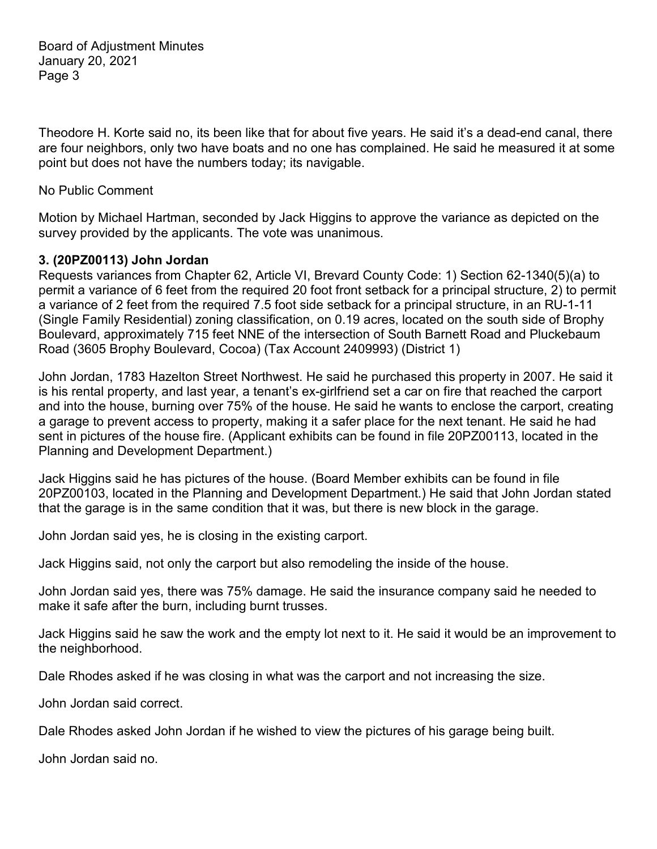Theodore H. Korte said no, its been like that for about five years. He said it's a dead-end canal, there are four neighbors, only two have boats and no one has complained. He said he measured it at some point but does not have the numbers today; its navigable.

#### No Public Comment

Motion by Michael Hartman, seconded by Jack Higgins to approve the variance as depicted on the survey provided by the applicants. The vote was unanimous.

#### **3. (20PZ00113) John Jordan**

Requests variances from Chapter 62, Article VI, Brevard County Code: 1) Section 62-1340(5)(a) to permit a variance of 6 feet from the required 20 foot front setback for a principal structure, 2) to permit a variance of 2 feet from the required 7.5 foot side setback for a principal structure, in an RU-1-11 (Single Family Residential) zoning classification, on 0.19 acres, located on the south side of Brophy Boulevard, approximately 715 feet NNE of the intersection of South Barnett Road and Pluckebaum Road (3605 Brophy Boulevard, Cocoa) (Tax Account 2409993) (District 1)

John Jordan, 1783 Hazelton Street Northwest. He said he purchased this property in 2007. He said it is his rental property, and last year, a tenant's ex-girlfriend set a car on fire that reached the carport and into the house, burning over 75% of the house. He said he wants to enclose the carport, creating a garage to prevent access to property, making it a safer place for the next tenant. He said he had sent in pictures of the house fire. (Applicant exhibits can be found in file 20PZ00113, located in the Planning and Development Department.)

Jack Higgins said he has pictures of the house. (Board Member exhibits can be found in file 20PZ00103, located in the Planning and Development Department.) He said that John Jordan stated that the garage is in the same condition that it was, but there is new block in the garage.

John Jordan said yes, he is closing in the existing carport.

Jack Higgins said, not only the carport but also remodeling the inside of the house.

John Jordan said yes, there was 75% damage. He said the insurance company said he needed to make it safe after the burn, including burnt trusses.

Jack Higgins said he saw the work and the empty lot next to it. He said it would be an improvement to the neighborhood.

Dale Rhodes asked if he was closing in what was the carport and not increasing the size.

John Jordan said correct.

Dale Rhodes asked John Jordan if he wished to view the pictures of his garage being built.

John Jordan said no.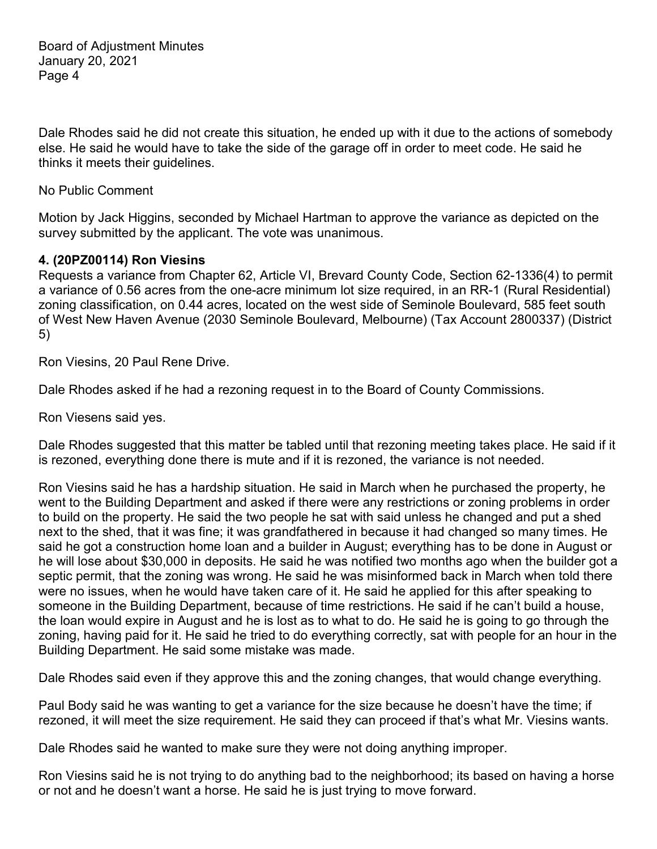Dale Rhodes said he did not create this situation, he ended up with it due to the actions of somebody else. He said he would have to take the side of the garage off in order to meet code. He said he thinks it meets their guidelines.

No Public Comment

Motion by Jack Higgins, seconded by Michael Hartman to approve the variance as depicted on the survey submitted by the applicant. The vote was unanimous.

## **4. (20PZ00114) Ron Viesins**

Requests a variance from Chapter 62, Article VI, Brevard County Code, Section 62-1336(4) to permit a variance of 0.56 acres from the one-acre minimum lot size required, in an RR-1 (Rural Residential) zoning classification, on 0.44 acres, located on the west side of Seminole Boulevard, 585 feet south of West New Haven Avenue (2030 Seminole Boulevard, Melbourne) (Tax Account 2800337) (District 5)

Ron Viesins, 20 Paul Rene Drive.

Dale Rhodes asked if he had a rezoning request in to the Board of County Commissions.

Ron Viesens said yes.

Dale Rhodes suggested that this matter be tabled until that rezoning meeting takes place. He said if it is rezoned, everything done there is mute and if it is rezoned, the variance is not needed.

Ron Viesins said he has a hardship situation. He said in March when he purchased the property, he went to the Building Department and asked if there were any restrictions or zoning problems in order to build on the property. He said the two people he sat with said unless he changed and put a shed next to the shed, that it was fine; it was grandfathered in because it had changed so many times. He said he got a construction home loan and a builder in August; everything has to be done in August or he will lose about \$30,000 in deposits. He said he was notified two months ago when the builder got a septic permit, that the zoning was wrong. He said he was misinformed back in March when told there were no issues, when he would have taken care of it. He said he applied for this after speaking to someone in the Building Department, because of time restrictions. He said if he can't build a house, the loan would expire in August and he is lost as to what to do. He said he is going to go through the zoning, having paid for it. He said he tried to do everything correctly, sat with people for an hour in the Building Department. He said some mistake was made.

Dale Rhodes said even if they approve this and the zoning changes, that would change everything.

Paul Body said he was wanting to get a variance for the size because he doesn't have the time; if rezoned, it will meet the size requirement. He said they can proceed if that's what Mr. Viesins wants.

Dale Rhodes said he wanted to make sure they were not doing anything improper.

Ron Viesins said he is not trying to do anything bad to the neighborhood; its based on having a horse or not and he doesn't want a horse. He said he is just trying to move forward.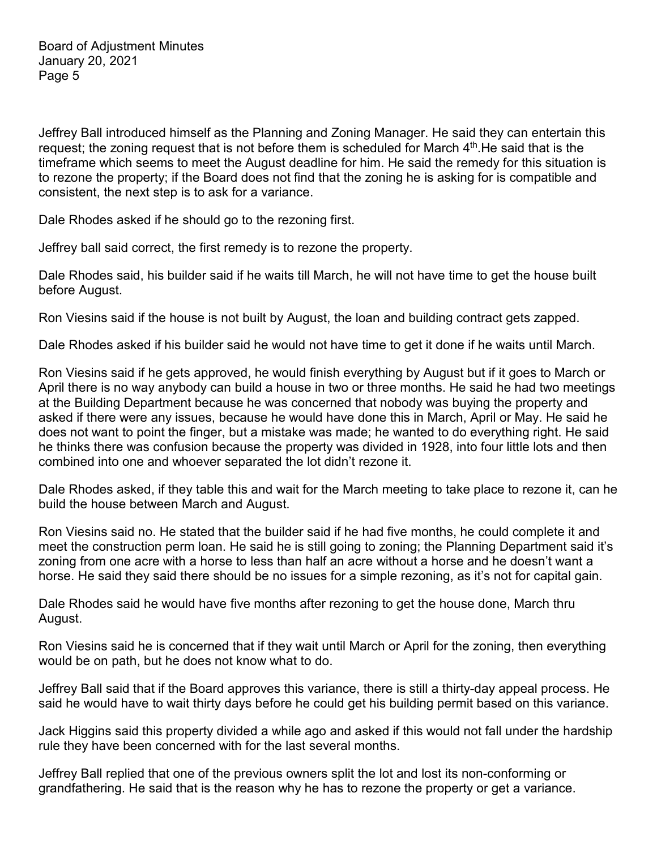Jeffrey Ball introduced himself as the Planning and Zoning Manager. He said they can entertain this request; the zoning request that is not before them is scheduled for March  $4<sup>th</sup>$ . He said that is the timeframe which seems to meet the August deadline for him. He said the remedy for this situation is to rezone the property; if the Board does not find that the zoning he is asking for is compatible and consistent, the next step is to ask for a variance.

Dale Rhodes asked if he should go to the rezoning first.

Jeffrey ball said correct, the first remedy is to rezone the property.

Dale Rhodes said, his builder said if he waits till March, he will not have time to get the house built before August.

Ron Viesins said if the house is not built by August, the loan and building contract gets zapped.

Dale Rhodes asked if his builder said he would not have time to get it done if he waits until March.

Ron Viesins said if he gets approved, he would finish everything by August but if it goes to March or April there is no way anybody can build a house in two or three months. He said he had two meetings at the Building Department because he was concerned that nobody was buying the property and asked if there were any issues, because he would have done this in March, April or May. He said he does not want to point the finger, but a mistake was made; he wanted to do everything right. He said he thinks there was confusion because the property was divided in 1928, into four little lots and then combined into one and whoever separated the lot didn't rezone it.

Dale Rhodes asked, if they table this and wait for the March meeting to take place to rezone it, can he build the house between March and August.

Ron Viesins said no. He stated that the builder said if he had five months, he could complete it and meet the construction perm loan. He said he is still going to zoning; the Planning Department said it's zoning from one acre with a horse to less than half an acre without a horse and he doesn't want a horse. He said they said there should be no issues for a simple rezoning, as it's not for capital gain.

Dale Rhodes said he would have five months after rezoning to get the house done, March thru August.

Ron Viesins said he is concerned that if they wait until March or April for the zoning, then everything would be on path, but he does not know what to do.

Jeffrey Ball said that if the Board approves this variance, there is still a thirty-day appeal process. He said he would have to wait thirty days before he could get his building permit based on this variance.

Jack Higgins said this property divided a while ago and asked if this would not fall under the hardship rule they have been concerned with for the last several months.

Jeffrey Ball replied that one of the previous owners split the lot and lost its non-conforming or grandfathering. He said that is the reason why he has to rezone the property or get a variance.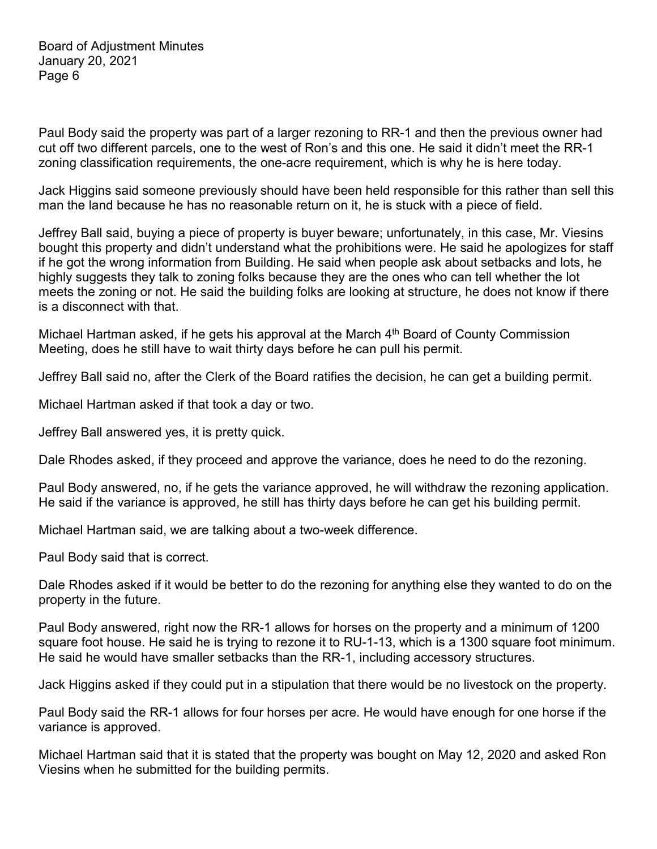Paul Body said the property was part of a larger rezoning to RR-1 and then the previous owner had cut off two different parcels, one to the west of Ron's and this one. He said it didn't meet the RR-1 zoning classification requirements, the one-acre requirement, which is why he is here today.

Jack Higgins said someone previously should have been held responsible for this rather than sell this man the land because he has no reasonable return on it, he is stuck with a piece of field.

Jeffrey Ball said, buying a piece of property is buyer beware; unfortunately, in this case, Mr. Viesins bought this property and didn't understand what the prohibitions were. He said he apologizes for staff if he got the wrong information from Building. He said when people ask about setbacks and lots, he highly suggests they talk to zoning folks because they are the ones who can tell whether the lot meets the zoning or not. He said the building folks are looking at structure, he does not know if there is a disconnect with that.

Michael Hartman asked, if he gets his approval at the March  $4<sup>th</sup>$  Board of County Commission Meeting, does he still have to wait thirty days before he can pull his permit.

Jeffrey Ball said no, after the Clerk of the Board ratifies the decision, he can get a building permit.

Michael Hartman asked if that took a day or two.

Jeffrey Ball answered yes, it is pretty quick.

Dale Rhodes asked, if they proceed and approve the variance, does he need to do the rezoning.

Paul Body answered, no, if he gets the variance approved, he will withdraw the rezoning application. He said if the variance is approved, he still has thirty days before he can get his building permit.

Michael Hartman said, we are talking about a two-week difference.

Paul Body said that is correct.

Dale Rhodes asked if it would be better to do the rezoning for anything else they wanted to do on the property in the future.

Paul Body answered, right now the RR-1 allows for horses on the property and a minimum of 1200 square foot house. He said he is trying to rezone it to RU-1-13, which is a 1300 square foot minimum. He said he would have smaller setbacks than the RR-1, including accessory structures.

Jack Higgins asked if they could put in a stipulation that there would be no livestock on the property.

Paul Body said the RR-1 allows for four horses per acre. He would have enough for one horse if the variance is approved.

Michael Hartman said that it is stated that the property was bought on May 12, 2020 and asked Ron Viesins when he submitted for the building permits.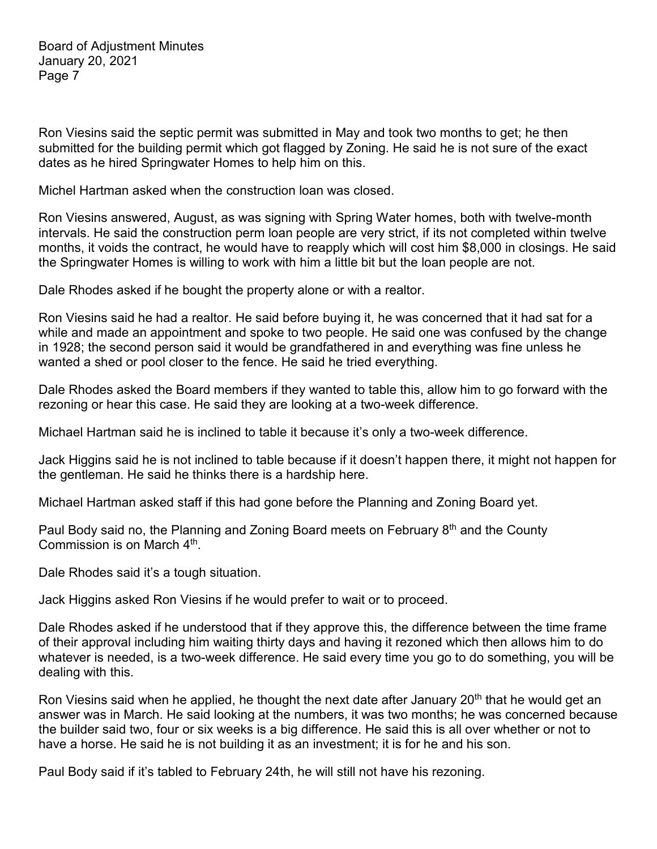Ron Viesins said the septic permit was submitted in May and took two months to get; he then submitted for the building permit which got flagged by Zoning. He said he is not sure of the exact dates as he hired Springwater Homes to help him on this.

Michel Hartman asked when the construction loan was closed.

Ron Viesins answered, August, as was signing with Spring Water homes, both with twelve-month intervals. He said the construction perm loan people are very strict, if its not completed within twelve months, it voids the contract, he would have to reapply which will cost him \$8,000 in closings. He said the Springwater Homes is willing to work with him a little bit but the loan people are not.

Dale Rhodes asked if he bought the property alone or with a realtor.

Ron Viesins said he had a realtor. He said before buying it, he was concerned that it had sat for a while and made an appointment and spoke to two people. He said one was confused by the change in 1928; the second person said it would be grandfathered in and everything was fine unless he wanted a shed or pool closer to the fence. He said he tried everything.

Dale Rhodes asked the Board members if they wanted to table this, allow him to go forward with the rezoning or hear this case. He said they are looking at a two-week difference.

Michael Hartman said he is inclined to table it because it's only a two-week difference.

Jack Higgins said he is not inclined to table because if it doesn't happen there, it might not happen for the gentleman. He said he thinks there is a hardship here.

Michael Hartman asked staff if this had gone before the Planning and Zoning Board yet.

Paul Body said no, the Planning and Zoning Board meets on February 8<sup>th</sup> and the County Commission is on March 4th.

Dale Rhodes said it's a tough situation.

Jack Higgins asked Ron Viesins if he would prefer to wait or to proceed.

Dale Rhodes asked if he understood that if they approve this, the difference between the time frame of their approval including him waiting thirty days and having it rezoned which then allows him to do whatever is needed, is a two-week difference. He said every time you go to do something, you will be dealing with this.

Ron Viesins said when he applied, he thought the next date after January  $20<sup>th</sup>$  that he would get an answer was in March. He said looking at the numbers, it was two months; he was concerned because the builder said two, four or six weeks is a big difference. He said this is all over whether or not to have a horse. He said he is not building it as an investment; it is for he and his son.

Paul Body said if it's tabled to February 24th, he will still not have his rezoning.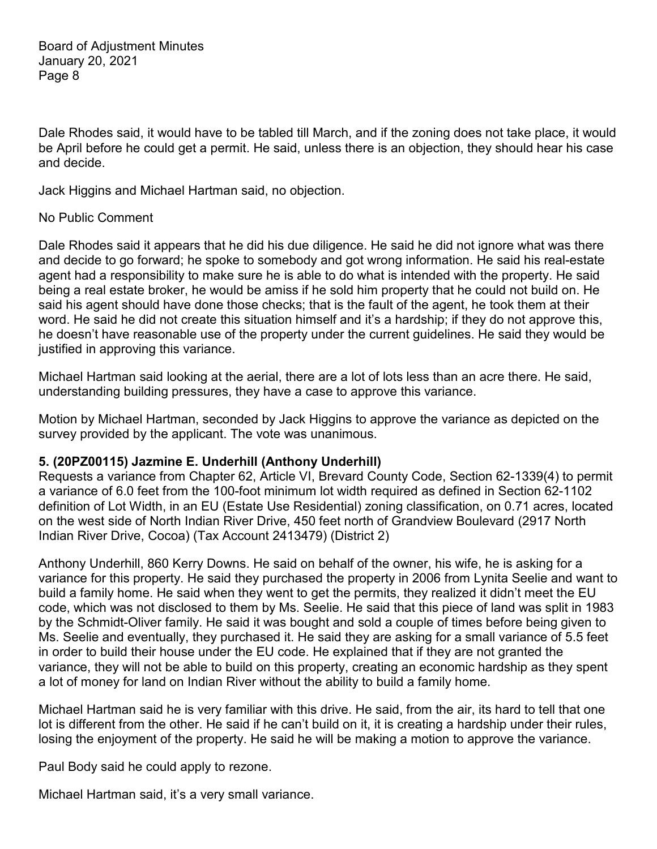Dale Rhodes said, it would have to be tabled till March, and if the zoning does not take place, it would be April before he could get a permit. He said, unless there is an objection, they should hear his case and decide.

Jack Higgins and Michael Hartman said, no objection.

## No Public Comment

Dale Rhodes said it appears that he did his due diligence. He said he did not ignore what was there and decide to go forward; he spoke to somebody and got wrong information. He said his real-estate agent had a responsibility to make sure he is able to do what is intended with the property. He said being a real estate broker, he would be amiss if he sold him property that he could not build on. He said his agent should have done those checks; that is the fault of the agent, he took them at their word. He said he did not create this situation himself and it's a hardship; if they do not approve this, he doesn't have reasonable use of the property under the current guidelines. He said they would be justified in approving this variance.

Michael Hartman said looking at the aerial, there are a lot of lots less than an acre there. He said, understanding building pressures, they have a case to approve this variance.

Motion by Michael Hartman, seconded by Jack Higgins to approve the variance as depicted on the survey provided by the applicant. The vote was unanimous.

## **5. (20PZ00115) Jazmine E. Underhill (Anthony Underhill)**

Requests a variance from Chapter 62, Article VI, Brevard County Code, Section 62-1339(4) to permit a variance of 6.0 feet from the 100-foot minimum lot width required as defined in Section 62-1102 definition of Lot Width, in an EU (Estate Use Residential) zoning classification, on 0.71 acres, located on the west side of North Indian River Drive, 450 feet north of Grandview Boulevard (2917 North Indian River Drive, Cocoa) (Tax Account 2413479) (District 2)

Anthony Underhill, 860 Kerry Downs. He said on behalf of the owner, his wife, he is asking for a variance for this property. He said they purchased the property in 2006 from Lynita Seelie and want to build a family home. He said when they went to get the permits, they realized it didn't meet the EU code, which was not disclosed to them by Ms. Seelie. He said that this piece of land was split in 1983 by the Schmidt-Oliver family. He said it was bought and sold a couple of times before being given to Ms. Seelie and eventually, they purchased it. He said they are asking for a small variance of 5.5 feet in order to build their house under the EU code. He explained that if they are not granted the variance, they will not be able to build on this property, creating an economic hardship as they spent a lot of money for land on Indian River without the ability to build a family home.

Michael Hartman said he is very familiar with this drive. He said, from the air, its hard to tell that one lot is different from the other. He said if he can't build on it, it is creating a hardship under their rules, losing the enjoyment of the property. He said he will be making a motion to approve the variance.

Paul Body said he could apply to rezone.

Michael Hartman said, it's a very small variance.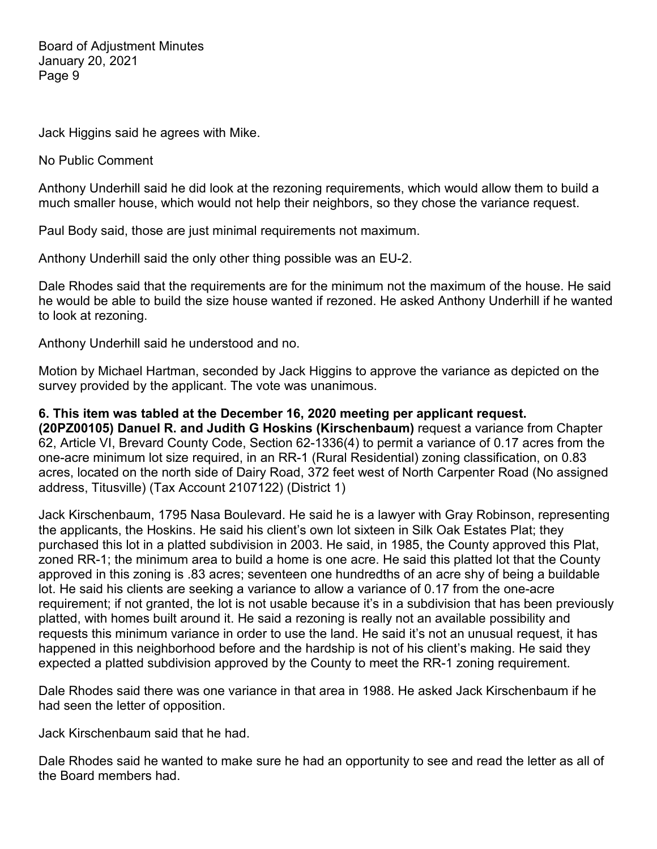Jack Higgins said he agrees with Mike.

No Public Comment

Anthony Underhill said he did look at the rezoning requirements, which would allow them to build a much smaller house, which would not help their neighbors, so they chose the variance request.

Paul Body said, those are just minimal requirements not maximum.

Anthony Underhill said the only other thing possible was an EU-2.

Dale Rhodes said that the requirements are for the minimum not the maximum of the house. He said he would be able to build the size house wanted if rezoned. He asked Anthony Underhill if he wanted to look at rezoning.

Anthony Underhill said he understood and no.

Motion by Michael Hartman, seconded by Jack Higgins to approve the variance as depicted on the survey provided by the applicant. The vote was unanimous.

**6. This item was tabled at the December 16, 2020 meeting per applicant request.**

**(20PZ00105) Danuel R. and Judith G Hoskins (Kirschenbaum)** request a variance from Chapter 62, Article VI, Brevard County Code, Section 62-1336(4) to permit a variance of 0.17 acres from the one-acre minimum lot size required, in an RR-1 (Rural Residential) zoning classification, on 0.83 acres, located on the north side of Dairy Road, 372 feet west of North Carpenter Road (No assigned address, Titusville) (Tax Account 2107122) (District 1)

Jack Kirschenbaum, 1795 Nasa Boulevard. He said he is a lawyer with Gray Robinson, representing the applicants, the Hoskins. He said his client's own lot sixteen in Silk Oak Estates Plat; they purchased this lot in a platted subdivision in 2003. He said, in 1985, the County approved this Plat, zoned RR-1; the minimum area to build a home is one acre. He said this platted lot that the County approved in this zoning is .83 acres; seventeen one hundredths of an acre shy of being a buildable lot. He said his clients are seeking a variance to allow a variance of 0.17 from the one-acre requirement; if not granted, the lot is not usable because it's in a subdivision that has been previously platted, with homes built around it. He said a rezoning is really not an available possibility and requests this minimum variance in order to use the land. He said it's not an unusual request, it has happened in this neighborhood before and the hardship is not of his client's making. He said they expected a platted subdivision approved by the County to meet the RR-1 zoning requirement.

Dale Rhodes said there was one variance in that area in 1988. He asked Jack Kirschenbaum if he had seen the letter of opposition.

Jack Kirschenbaum said that he had.

Dale Rhodes said he wanted to make sure he had an opportunity to see and read the letter as all of the Board members had.